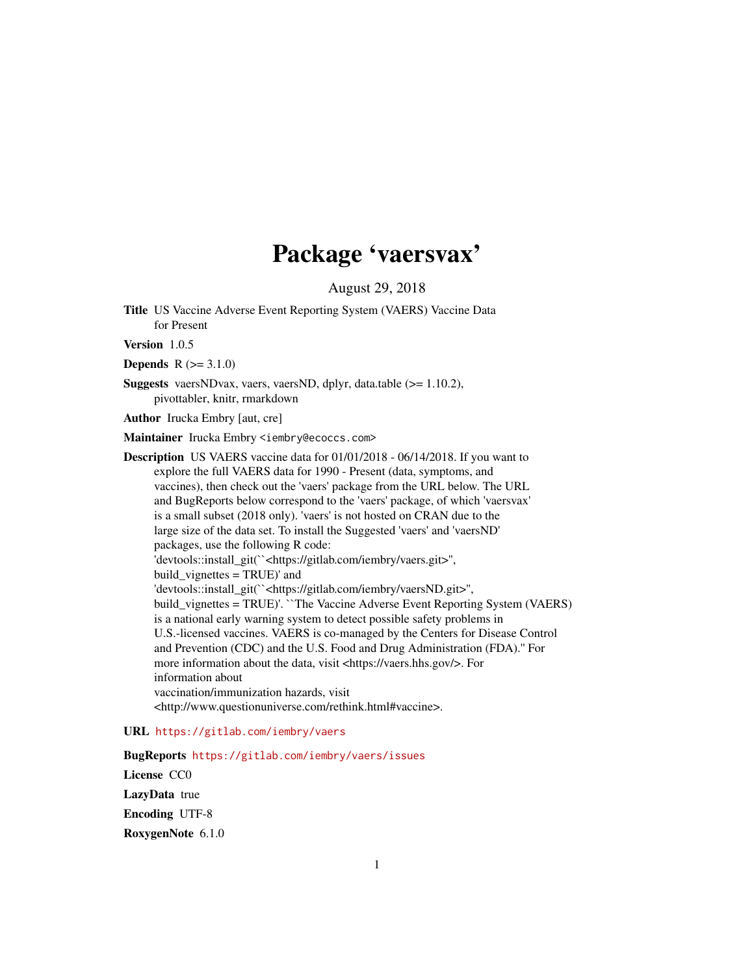# Package 'vaersvax'

August 29, 2018

Title US Vaccine Adverse Event Reporting System (VAERS) Vaccine Data for Present

Version 1.0.5

**Depends**  $R (= 3.1.0)$ 

Suggests vaersNDvax, vaers, vaersND, dplyr, data.table (>= 1.10.2), pivottabler, knitr, rmarkdown

Author Irucka Embry [aut, cre]

Maintainer Irucka Embry <iembry@ecoccs.com>

Description US VAERS vaccine data for 01/01/2018 - 06/14/2018. If you want to explore the full VAERS data for 1990 - Present (data, symptoms, and vaccines), then check out the 'vaers' package from the URL below. The URL and BugReports below correspond to the 'vaers' package, of which 'vaersvax' is a small subset (2018 only). 'vaers' is not hosted on CRAN due to the large size of the data set. To install the Suggested 'vaers' and 'vaersND' packages, use the following R code: 'devtools::install\_git(``<https://gitlab.com/iembry/vaers.git>'', build\_vignettes = TRUE)' and 'devtools::install\_git(``<https://gitlab.com/iembry/vaersND.git>'', build\_vignettes = TRUE)'. ``The Vaccine Adverse Event Reporting System (VAERS) is a national early warning system to detect possible safety problems in U.S.-licensed vaccines. VAERS is co-managed by the Centers for Disease Control and Prevention (CDC) and the U.S. Food and Drug Administration (FDA).'' For more information about the data, visit <https://vaers.hhs.gov/>. For information about vaccination/immunization hazards, visit <http://www.questionuniverse.com/rethink.html#vaccine>.

### URL <https://gitlab.com/iembry/vaers>

BugReports <https://gitlab.com/iembry/vaers/issues> License CC0 LazyData true Encoding UTF-8 RoxygenNote 6.1.0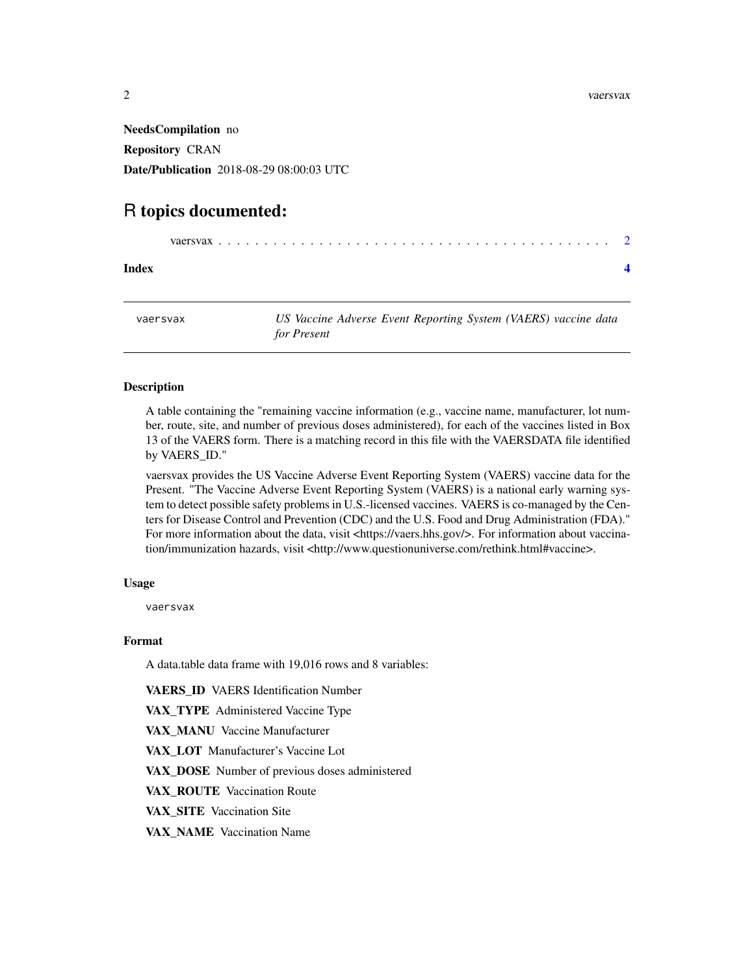<span id="page-1-0"></span>NeedsCompilation no Repository CRAN Date/Publication 2018-08-29 08:00:03 UTC

# R topics documented:

|--|--|--|--|

**Index** [4](#page-3-0)

vaersvax *US Vaccine Adverse Event Reporting System (VAERS) vaccine data for Present*

#### Description

A table containing the "remaining vaccine information (e.g., vaccine name, manufacturer, lot number, route, site, and number of previous doses administered), for each of the vaccines listed in Box 13 of the VAERS form. There is a matching record in this file with the VAERSDATA file identified by VAERS\_ID."

vaersvax provides the US Vaccine Adverse Event Reporting System (VAERS) vaccine data for the Present. "The Vaccine Adverse Event Reporting System (VAERS) is a national early warning system to detect possible safety problems in U.S.-licensed vaccines. VAERS is co-managed by the Centers for Disease Control and Prevention (CDC) and the U.S. Food and Drug Administration (FDA)." For more information about the data, visit <https://vaers.hhs.gov/>. For information about vaccination/immunization hazards, visit <http://www.questionuniverse.com/rethink.html#vaccine>.

#### Usage

vaersvax

#### Format

A data.table data frame with 19,016 rows and 8 variables:

VAERS\_ID VAERS Identification Number

VAX\_TYPE Administered Vaccine Type

VAX\_MANU Vaccine Manufacturer

VAX\_LOT Manufacturer's Vaccine Lot

VAX\_DOSE Number of previous doses administered

VAX\_ROUTE Vaccination Route

VAX\_SITE Vaccination Site

VAX\_NAME Vaccination Name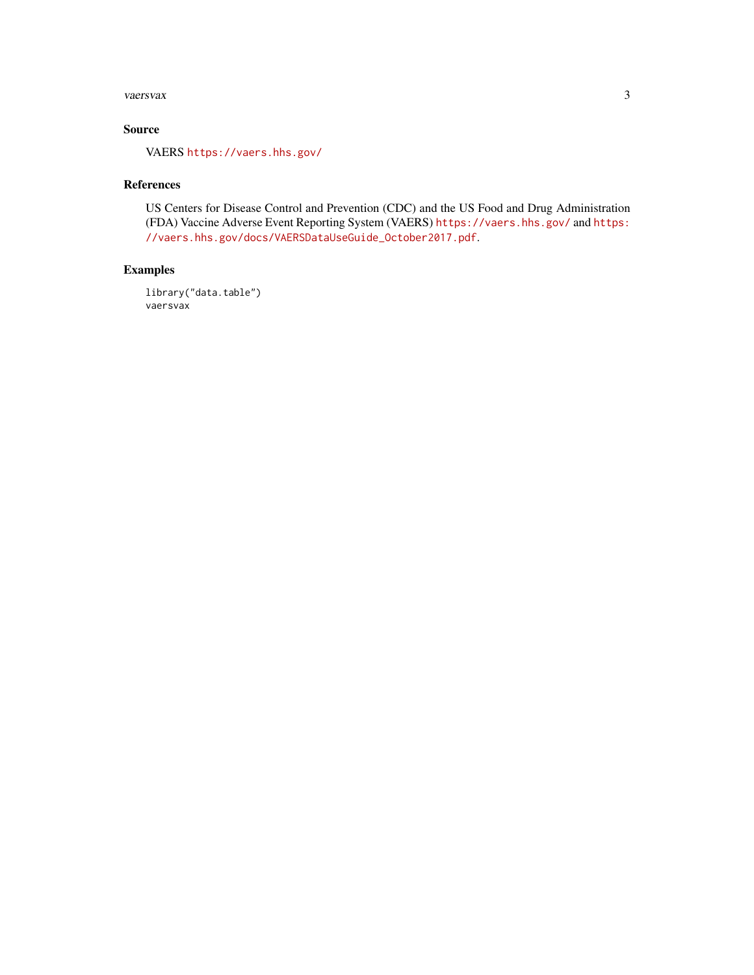#### vaersvax 3

## Source

VAERS <https://vaers.hhs.gov/>

#### References

US Centers for Disease Control and Prevention (CDC) and the US Food and Drug Administration (FDA) Vaccine Adverse Event Reporting System (VAERS) <https://vaers.hhs.gov/> and [https:](https://vaers.hhs.gov/docs/VAERSDataUseGuide_October2017.pdf) [//vaers.hhs.gov/docs/VAERSDataUseGuide\\_October2017.pdf](https://vaers.hhs.gov/docs/VAERSDataUseGuide_October2017.pdf).

#### Examples

library("data.table") vaersvax